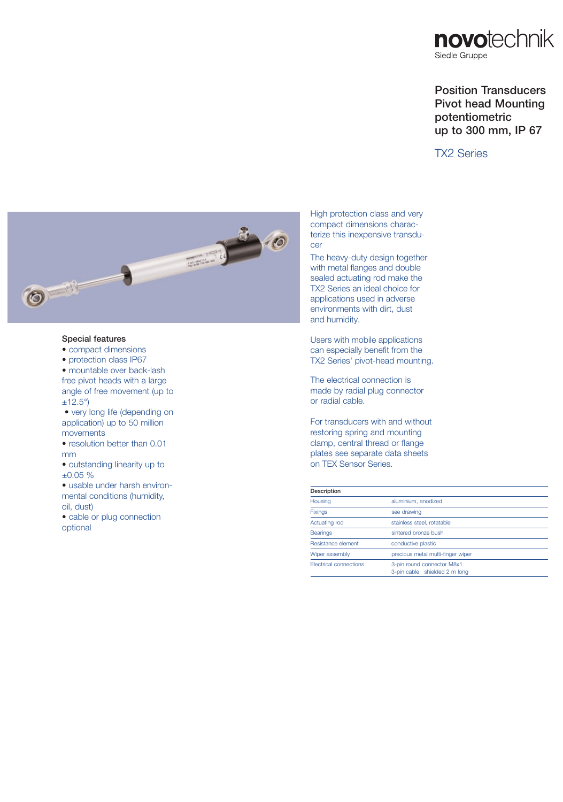

## Position Transducers Pivot head Mounting potentiometric up to 300 mm, IP 67

## TX2 Series



## Special features

- compact dimensions
- protection class IP67
- mountable over back-lash free pivot heads with a large angle of free movement (up to  $\pm$ 12.5°)
- very long life (depending on application) up to 50 million movements
- resolution better than 0.01 mm
- outstanding linearity up to ±0.05 %
- usable under harsh environmental conditions (humidity, oil, dust)
- cable or plug connection optional

High protection class and very compact dimensions characterize this inexpensive transducer

The heavy-duty design together with metal flanges and double sealed actuating rod make the TX2 Series an ideal choice for applications used in adverse environments with dirt, dust and humidity.

Users with mobile applications can especially benefit from the TX2 Series' pivot-head mounting.

The electrical connection is made by radial plug connector or radial cable.

For transducers with and without restoring spring and mounting clamp, central thread or flange plates see separate data sheets on TEX Sensor Series.

| Description                   |                                                              |  |  |  |
|-------------------------------|--------------------------------------------------------------|--|--|--|
| Housing                       | aluminium, anodized                                          |  |  |  |
| <b>Fixings</b>                | see drawing                                                  |  |  |  |
| Actuating rod                 | stainless steel, rotatable                                   |  |  |  |
| <b>Bearings</b>               | sintered bronze bush                                         |  |  |  |
| Resistance element            | conductive plastic                                           |  |  |  |
| Wiper assembly                | precious metal multi-finger wiper                            |  |  |  |
| <b>Electrical connections</b> | 3-pin round connector M8x1<br>3-pin cable, shielded 2 m long |  |  |  |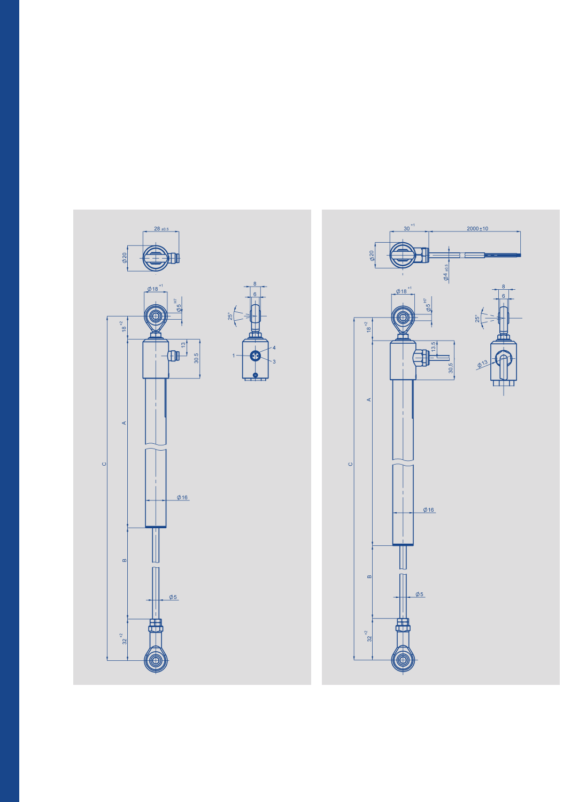

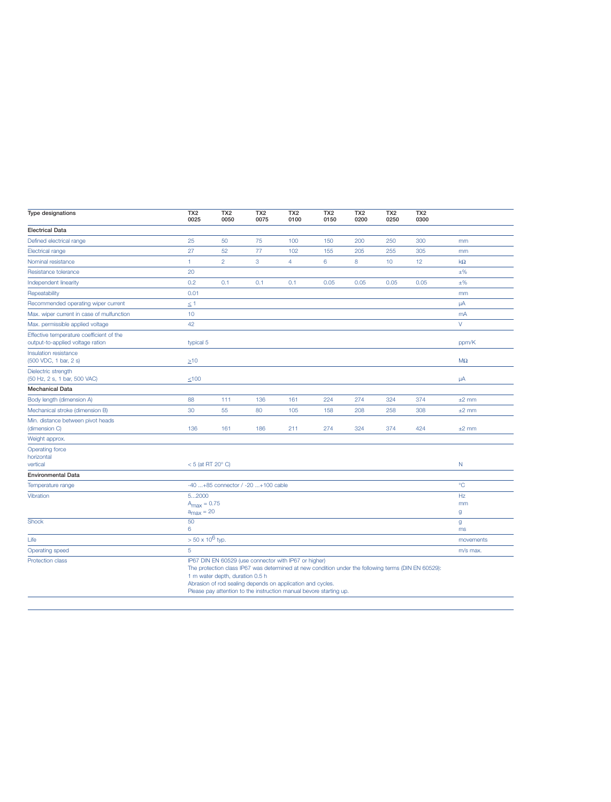| Type designations                                                            | TX <sub>2</sub><br>0025                                                                                                                                                                                                                                                                                                             | TX <sub>2</sub><br>0050 | TX <sub>2</sub><br>0075 | TX <sub>2</sub><br>0100 | TX <sub>2</sub><br>0150 | TX <sub>2</sub><br>0200 | TX <sub>2</sub><br>0250 | TX <sub>2</sub><br>0300 |                    |
|------------------------------------------------------------------------------|-------------------------------------------------------------------------------------------------------------------------------------------------------------------------------------------------------------------------------------------------------------------------------------------------------------------------------------|-------------------------|-------------------------|-------------------------|-------------------------|-------------------------|-------------------------|-------------------------|--------------------|
| <b>Electrical Data</b>                                                       |                                                                                                                                                                                                                                                                                                                                     |                         |                         |                         |                         |                         |                         |                         |                    |
| Defined electrical range                                                     | 25                                                                                                                                                                                                                                                                                                                                  | 50                      | 75                      | 100                     | 150                     | 200                     | 250                     | 300                     | mm                 |
| <b>Electrical range</b>                                                      | 27                                                                                                                                                                                                                                                                                                                                  | 52                      | 77                      | 102                     | 155                     | 205                     | 255                     | 305                     | mm                 |
| Nominal resistance                                                           | $\mathbf{1}$                                                                                                                                                                                                                                                                                                                        | $\overline{2}$          | 3                       | $\overline{4}$          | $6\phantom{1}6$         | 8                       | 10                      | 12                      | $k\Omega$          |
| Resistance tolerance                                                         | 20                                                                                                                                                                                                                                                                                                                                  |                         |                         |                         |                         |                         |                         |                         | $±\%$              |
| Independent linearity                                                        | 0.2                                                                                                                                                                                                                                                                                                                                 | 0.1                     | 0.1                     | 0.1                     | 0.05                    | 0.05                    | 0.05                    | 0.05                    | $±\%$              |
| Repeatability                                                                | 0.01                                                                                                                                                                                                                                                                                                                                |                         |                         |                         |                         |                         |                         |                         | mm                 |
| Recommended operating wiper current                                          | $\leq 1$                                                                                                                                                                                                                                                                                                                            |                         |                         |                         |                         |                         |                         |                         | μA                 |
| Max. wiper current in case of mulfunction                                    | 10                                                                                                                                                                                                                                                                                                                                  |                         |                         |                         |                         |                         |                         |                         | mA                 |
| Max. permissible applied voltage                                             | 42                                                                                                                                                                                                                                                                                                                                  |                         |                         |                         |                         |                         |                         |                         | $\vee$             |
| Effective temperature coefficient of the<br>output-to-applied voltage ration | typical 5                                                                                                                                                                                                                                                                                                                           |                         |                         |                         |                         |                         |                         |                         | ppm/K              |
| Insulation resistance<br>(500 VDC, 1 bar, 2 s)                               | $\geq 10$                                                                                                                                                                                                                                                                                                                           |                         |                         |                         |                         |                         |                         |                         | $M\Omega$          |
| Dielectric strength<br>(50 Hz, 2 s, 1 bar, 500 VAC)                          | $≤100$                                                                                                                                                                                                                                                                                                                              |                         |                         |                         |                         |                         |                         |                         | $\mu$ A            |
| <b>Mechanical Data</b>                                                       |                                                                                                                                                                                                                                                                                                                                     |                         |                         |                         |                         |                         |                         |                         |                    |
| Body length (dimension A)                                                    | 88                                                                                                                                                                                                                                                                                                                                  | 111                     | 136                     | 161                     | 224                     | 274                     | 324                     | 374                     | $±2$ mm            |
| Mechanical stroke (dimension B)                                              | 30                                                                                                                                                                                                                                                                                                                                  | 55                      | 80                      | 105                     | 158                     | 208                     | 258                     | 308                     | $±2$ mm            |
| Min. distance between pivot heads<br>(dimension C)                           | 136                                                                                                                                                                                                                                                                                                                                 | 161                     | 186                     | 211                     | 274                     | 324                     | 374                     | 424                     | $±2$ mm            |
| Weight approx.                                                               |                                                                                                                                                                                                                                                                                                                                     |                         |                         |                         |                         |                         |                         |                         |                    |
| <b>Operating force</b><br>horizontal<br>vertical                             | $<$ 5 (at RT 20 $^{\circ}$ C)                                                                                                                                                                                                                                                                                                       |                         |                         |                         |                         |                         |                         |                         | $\mathsf{N}$       |
| <b>Environmental Data</b>                                                    |                                                                                                                                                                                                                                                                                                                                     |                         |                         |                         |                         |                         |                         |                         |                    |
| Temperature range                                                            | $^{\circ}$ C<br>-40 +85 connector / -20 +100 cable                                                                                                                                                                                                                                                                                  |                         |                         |                         |                         |                         |                         |                         |                    |
| Vibration                                                                    | 52000<br>$A_{\text{max}} = 0.75$<br>$a_{\text{max}} = 20$                                                                                                                                                                                                                                                                           |                         |                         |                         |                         |                         |                         | Hz<br>mm<br>g           |                    |
| <b>Shock</b>                                                                 | 50<br>6                                                                                                                                                                                                                                                                                                                             |                         |                         |                         |                         |                         |                         |                         | $\mathsf{g}$<br>ms |
| Life                                                                         | $> 50 \times 10^6$ typ.                                                                                                                                                                                                                                                                                                             |                         |                         |                         |                         |                         |                         |                         | movements          |
| Operating speed                                                              | 5                                                                                                                                                                                                                                                                                                                                   |                         |                         |                         |                         |                         |                         |                         | m/s max.           |
| Protection class                                                             | IP67 DIN EN 60529 (use connector with IP67 or higher)<br>The protection class IP67 was determined at new condition under the following terms (DIN EN 60529):<br>1 m water depth, duration 0.5 h<br>Abrasion of rod sealing depends on application and cycles.<br>Please pay attention to the instruction manual bevore starting up. |                         |                         |                         |                         |                         |                         |                         |                    |